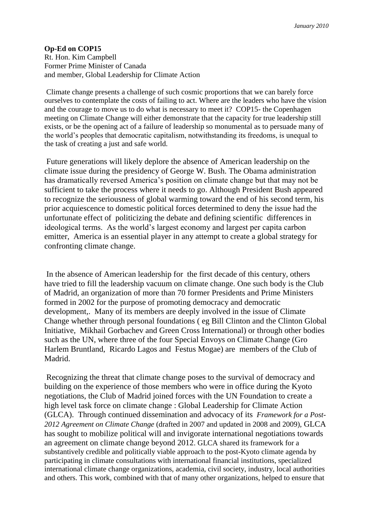## **Op-Ed on COP15**

Rt. Hon. Kim Campbell Former Prime Minister of Canada and member, Global Leadership for Climate Action

Climate change presents a challenge of such cosmic proportions that we can barely force ourselves to contemplate the costs of failing to act. Where are the leaders who have the vision and the courage to move us to do what is necessary to meet it? COP15- the Copenhagen meeting on Climate Change will either demonstrate that the capacity for true leadership still exists, or be the opening act of a failure of leadership so monumental as to persuade many of the world's peoples that democratic capitalism, notwithstanding its freedoms, is unequal to the task of creating a just and safe world.

Future generations will likely deplore the absence of American leadership on the climate issue during the presidency of George W. Bush. The Obama administration has dramatically reversed America's position on climate change but that may not be sufficient to take the process where it needs to go. Although President Bush appeared to recognize the seriousness of global warming toward the end of his second term, his prior acquiescence to domestic political forces determined to deny the issue had the unfortunate effect of politicizing the debate and defining scientific differences in ideological terms. As the world's largest economy and largest per capita carbon emitter, America is an essential player in any attempt to create a global strategy for confronting climate change.

In the absence of American leadership for the first decade of this century, others have tried to fill the leadership vacuum on climate change. One such body is the Club of Madrid, an organization of more than 70 former Presidents and Prime Ministers formed in 2002 for the purpose of promoting democracy and democratic development,. Many of its members are deeply involved in the issue of Climate Change whether through personal foundations ( eg Bill Clinton and the Clinton Global Initiative, Mikhail Gorbachev and Green Cross International) or through other bodies such as the UN, where three of the four Special Envoys on Climate Change (Gro Harlem Bruntland, Ricardo Lagos and Festus Mogae) are members of the Club of Madrid.

Recognizing the threat that climate change poses to the survival of democracy and building on the experience of those members who were in office during the Kyoto negotiations, the Club of Madrid joined forces with the UN Foundation to create a high level task force on climate change : Global Leadership for Climate Action (GLCA). Through continued dissemination and advocacy of its *Framework for a Post-2012 Agreement on Climate Change* (drafted in 2007 and updated in 2008 and 2009), GLCA has sought to mobilize political will and invigorate international negotiations towards an agreement on climate change beyond 2012. GLCA shared its framework for a substantively credible and politically viable approach to the post-Kyoto climate agenda by participating in climate consultations with international financial institutions, specialized international climate change organizations, academia, civil society, industry, local authorities and others. This work, combined with that of many other organizations, helped to ensure that